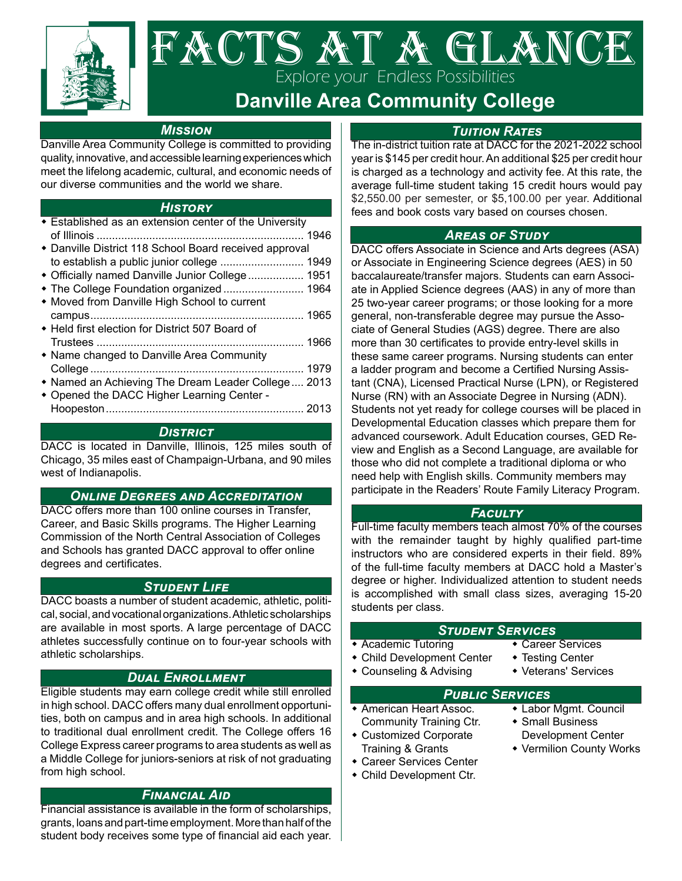

# FACTS AT A GLANCI Explore your Endless Possibilities

## **Danville Area Community College**

### *Mission*

Danville Area Community College is committed to providing quality, innovative, and accessible learning experiences which meet the lifelong academic, cultural, and economic needs of our diverse communities and the world we share.

### *History*

| Established as an extension center of the University                                                                                                     |  |
|----------------------------------------------------------------------------------------------------------------------------------------------------------|--|
| • Danville District 118 School Board received approval<br>to establish a public junior college  1949<br>+ Officially named Danville Junior College  1951 |  |
| * The College Foundation organized  1964<br>• Moved from Danville High School to current                                                                 |  |
| ◆ Held first election for District 507 Board of                                                                                                          |  |
| • Name changed to Danville Area Community<br>• Named an Achieving The Dream Leader College  2013                                                         |  |
| • Opened the DACC Higher Learning Center -                                                                                                               |  |

### *District*

DACC is located in Danville, Illinois, 125 miles south of Chicago, 35 miles east of Champaign-Urbana, and 90 miles west of Indianapolis.

### *Online Degrees and Accreditation*

DACC offers more than 100 online courses in Transfer, Career, and Basic Skills programs. The Higher Learning Commission of the North Central Association of Colleges and Schools has granted DACC approval to offer online degrees and certificates.

### *Student Life*

DACC boasts a number of student academic, athletic, political, social, and vocational organizations. Athletic scholarships are available in most sports. A large percentage of DACC athletes successfully continue on to four-year schools with athletic scholarships.

### *Dual Enrollment*

Eligible students may earn college credit while still enrolled in high school. DACC offers many dual enrollment opportunities, both on campus and in area high schools. In additional to traditional dual enrollment credit. The College offers 16 College Express career programs to area students as well as a Middle College for juniors-seniors at risk of not graduating from high school.

### *Financial Aid*

Financial assistance is available in the form of scholarships, grants, loans and part-time employment. More than half of the student body receives some type of financial aid each year.

### *Tuition Rates*

The in-district tuition rate at DACC for the 2021-2022 school year is \$145 per credit hour. An additional \$25 per credit hour is charged as a technology and activity fee. At this rate, the average full-time student taking 15 credit hours would pay \$2,550.00 per semester, or \$5,100.00 per year. Additional fees and book costs vary based on courses chosen.

### *Areas of Study*

DACC offers Associate in Science and Arts degrees (ASA) or Associate in Engineering Science degrees (AES) in 50 baccalaureate/transfer majors. Students can earn Associate in Applied Science degrees (AAS) in any of more than 25 two-year career programs; or those looking for a more general, non-transferable degree may pursue the Associate of General Studies (AGS) degree. There are also more than 30 certificates to provide entry-level skills in these same career programs. Nursing students can enter a ladder program and become a Certified Nursing Assistant (CNA), Licensed Practical Nurse (LPN), or Registered Nurse (RN) with an Associate Degree in Nursing (ADN). Students not yet ready for college courses will be placed in Developmental Education classes which prepare them for advanced coursework. Adult Education courses, GED Review and English as a Second Language, are available for those who did not complete a traditional diploma or who need help with English skills. Community members may participate in the Readers' Route Family Literacy Program.

### *Faculty*

Full-time faculty members teach almost 70% of the courses with the remainder taught by highly qualified part-time instructors who are considered experts in their field. 89% of the full-time faculty members at DACC hold a Master's degree or higher. Individualized attention to student needs is accomplished with small class sizes, averaging 15-20 students per class.

# *Student Services*

- $\overline{\bullet}$  Academic Tutoring
- Child Development Center Testing Center
- Counseling & Advising Veterans' Services
- 
- 

# **PUBLIC SERVICES**<br>**• American Heart Assoc. • Labor**

- Community Training Ctr. Small Business
- Training & Grants **County Works**
- Career Services Center
- Child Development Ctr.
- 
- Labor Mgmt. Council
- Customized Corporate Development Center